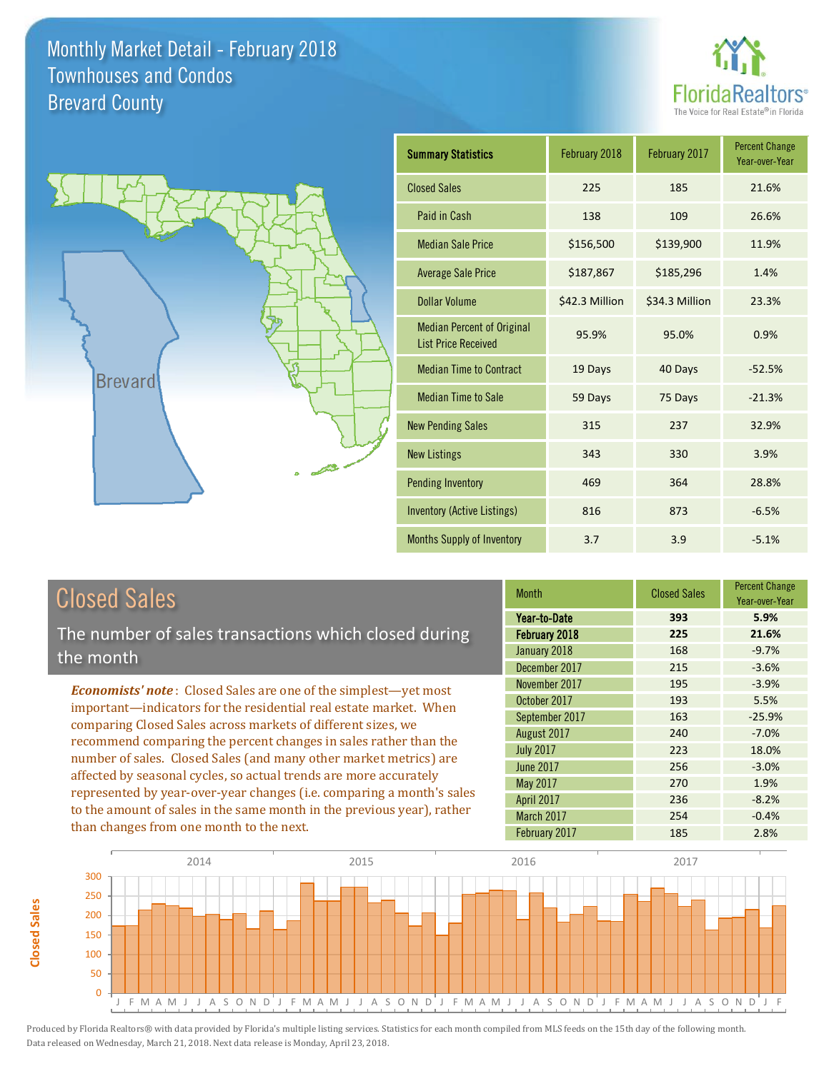



| <b>Summary Statistics</b>                                       | February 2018  | February 2017  | <b>Percent Change</b><br>Year-over-Year |
|-----------------------------------------------------------------|----------------|----------------|-----------------------------------------|
| <b>Closed Sales</b>                                             | 225            | 185            | 21.6%                                   |
| Paid in Cash                                                    | 138            | 109            | 26.6%                                   |
| <b>Median Sale Price</b>                                        | \$156,500      | \$139,900      | 11.9%                                   |
| <b>Average Sale Price</b>                                       | \$187,867      | \$185,296      | 1.4%                                    |
| <b>Dollar Volume</b>                                            | \$42.3 Million | \$34.3 Million | 23.3%                                   |
| <b>Median Percent of Original</b><br><b>List Price Received</b> | 95.9%          | 95.0%          | 0.9%                                    |
| <b>Median Time to Contract</b>                                  | 19 Days        | 40 Days        | $-52.5%$                                |
| <b>Median Time to Sale</b>                                      | 59 Days        | 75 Days        | $-21.3%$                                |
| <b>New Pending Sales</b>                                        | 315            | 237            | 32.9%                                   |
| <b>New Listings</b>                                             | 343            | 330            | 3.9%                                    |
| <b>Pending Inventory</b>                                        | 469            | 364            | 28.8%                                   |
| Inventory (Active Listings)                                     | 816            | 873            | $-6.5%$                                 |
| <b>Months Supply of Inventory</b>                               | 3.7            | 3.9            | $-5.1%$                                 |

## Closed Sales

**Closed Sales**

Closed Sales

The number of sales transactions which closed during the month

*Economists' note* : Closed Sales are one of the simplest—yet most important—indicators for the residential real estate market. When comparing Closed Sales across markets of different sizes, we recommend comparing the percent changes in sales rather than the number of sales. Closed Sales (and many other market metrics) are affected by seasonal cycles, so actual trends are more accurately represented by year-over-year changes (i.e. comparing a month's sales to the amount of sales in the same month in the previous year), rather than changes from one month to the next.

| <b>Month</b>     | <b>Closed Sales</b> | <b>Percent Change</b><br>Year-over-Year |
|------------------|---------------------|-----------------------------------------|
| Year-to-Date     | 393                 | 5.9%                                    |
| February 2018    | 225                 | 21.6%                                   |
| January 2018     | 168                 | $-9.7%$                                 |
| December 2017    | 215                 | $-3.6%$                                 |
| November 2017    | 195                 | $-3.9%$                                 |
| October 2017     | 193                 | 5.5%                                    |
| September 2017   | 163                 | $-25.9%$                                |
| August 2017      | 240                 | $-7.0%$                                 |
| <b>July 2017</b> | 223                 | 18.0%                                   |
| <b>June 2017</b> | 256                 | $-3.0%$                                 |
| May 2017         | 270                 | 1.9%                                    |
| April 2017       | 236                 | $-8.2%$                                 |
| March 2017       | 254                 | $-0.4%$                                 |
| February 2017    | 185                 | 2.8%                                    |

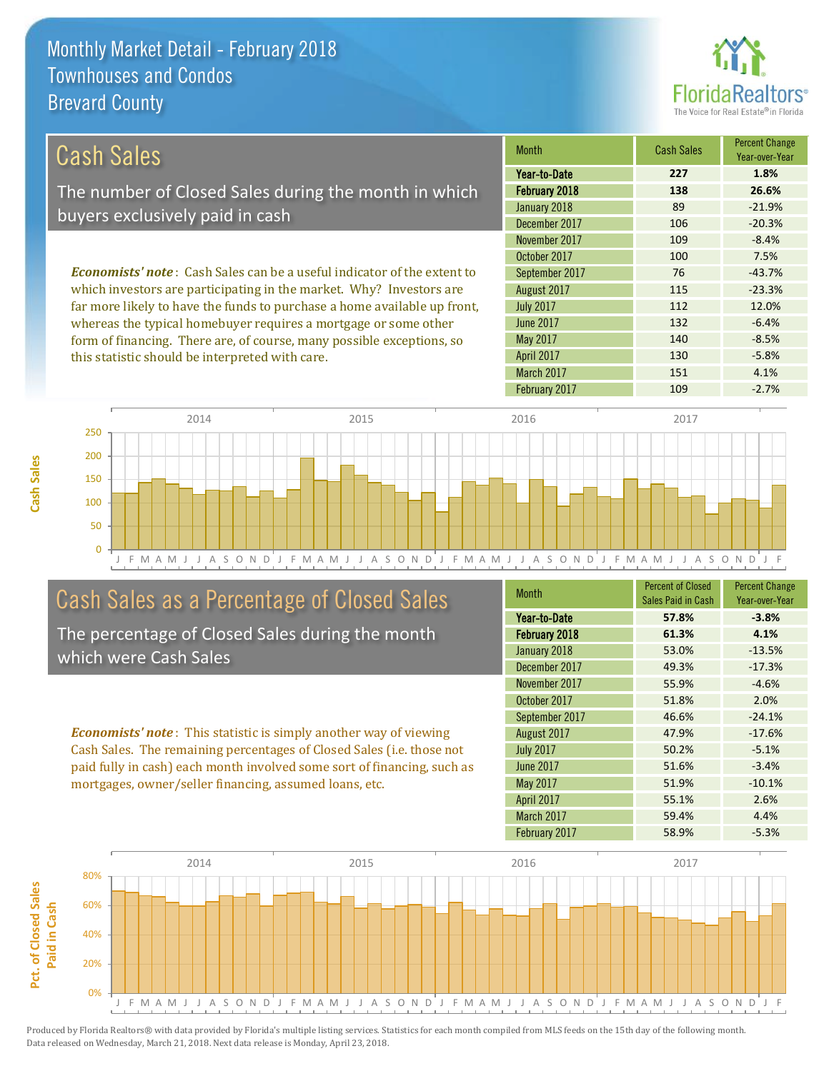this statistic should be interpreted with care.



130 -5.8%

| Cash Sales                                                                     | <b>Month</b>     | <b>Cash Sales</b> | <b>Percent Change</b><br>Year-over-Year |
|--------------------------------------------------------------------------------|------------------|-------------------|-----------------------------------------|
|                                                                                | Year-to-Date     | 227               | 1.8%                                    |
| The number of Closed Sales during the month in which                           | February 2018    | 138               | 26.6%                                   |
|                                                                                | January 2018     | 89                | $-21.9%$                                |
| buyers exclusively paid in cash                                                | December 2017    | 106               | $-20.3%$                                |
|                                                                                | November 2017    | 109               | $-8.4%$                                 |
|                                                                                | October 2017     | 100               | 7.5%                                    |
| <b>Economists' note:</b> Cash Sales can be a useful indicator of the extent to | September 2017   | 76                | $-43.7%$                                |
| which investors are participating in the market. Why? Investors are            | August 2017      | 115               | $-23.3%$                                |
| far more likely to have the funds to purchase a home available up front,       | <b>July 2017</b> | 112               | 12.0%                                   |
| whereas the typical homebuyer requires a mortgage or some other                | June 2017        | 132               | $-6.4%$                                 |
| form of financing. There are, of course, many possible exceptions, so          | May 2017         | 140               | $-8.5%$                                 |

J F M A M J J A S O N D J F M A M J J A S O N D J F M A M J J A S O N D J F M A M J J A S O N D J F  $\Omega$ 50 100 150 200 250 2014 2015 2016 2017

## Cash Sales as a Percentage of Closed Sales

The percentage of Closed Sales during the month which were Cash Sales

*Economists' note* : This statistic is simply another way of viewing Cash Sales. The remaining percentages of Closed Sales (i.e. those not paid fully in cash) each month involved some sort of financing, such as mortgages, owner/seller financing, assumed loans, etc.

| <b>Month</b>      | <b>Percent of Closed</b> | <b>Percent Change</b> |
|-------------------|--------------------------|-----------------------|
|                   | Sales Paid in Cash       | Year-over-Year        |
| Year-to-Date      | 57.8%                    | $-3.8%$               |
| February 2018     | 61.3%                    | 4.1%                  |
| January 2018      | 53.0%                    | $-13.5%$              |
| December 2017     | 49.3%                    | $-17.3%$              |
| November 2017     | 55.9%                    | $-4.6%$               |
| October 2017      | 51.8%                    | 2.0%                  |
| September 2017    | 46.6%                    | $-24.1%$              |
| August 2017       | 47.9%                    | $-17.6%$              |
| <b>July 2017</b>  | 50.2%                    | $-5.1%$               |
| <b>June 2017</b>  | 51.6%                    | $-3.4%$               |
| <b>May 2017</b>   | 51.9%                    | $-10.1%$              |
| April 2017        | 55.1%                    | 2.6%                  |
| <b>March 2017</b> | 59.4%                    | 4.4%                  |
| February 2017     | 58.9%                    | $-5.3%$               |

February 2017 109 109 -2.7%

March 2017 151 4.1%

April 2017

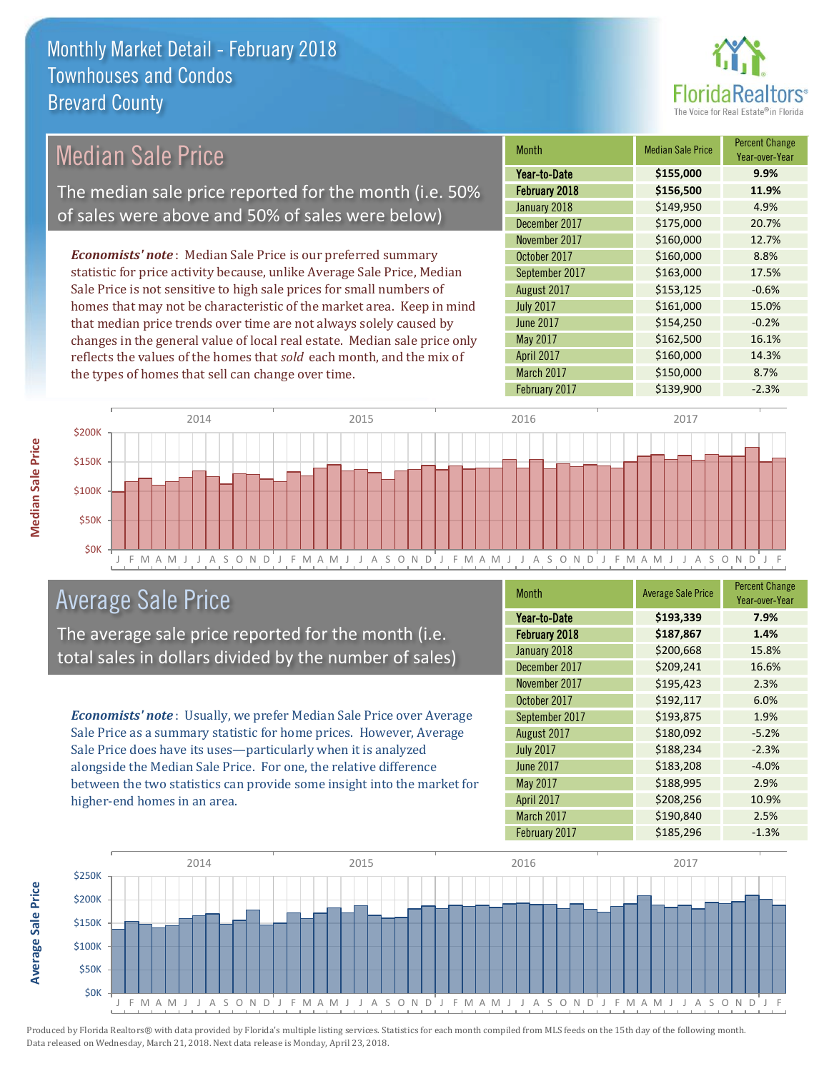

| <b>Median Sale Price</b>                                                  | <b>Month</b>      | <b>Median Sale Price</b> | <b>Percent Change</b><br>Year-over-Year |
|---------------------------------------------------------------------------|-------------------|--------------------------|-----------------------------------------|
|                                                                           | Year-to-Date      | \$155,000                | 9.9%                                    |
| The median sale price reported for the month (i.e. 50%                    | February 2018     | \$156,500                | 11.9%                                   |
| of sales were above and 50% of sales were below)                          | January 2018      | \$149,950                | 4.9%                                    |
|                                                                           | December 2017     | \$175,000                | 20.7%                                   |
|                                                                           | November 2017     | \$160,000                | 12.7%                                   |
| <b>Economists' note:</b> Median Sale Price is our preferred summary       | October 2017      | \$160,000                | 8.8%                                    |
| statistic for price activity because, unlike Average Sale Price, Median   | September 2017    | \$163,000                | 17.5%                                   |
| Sale Price is not sensitive to high sale prices for small numbers of      | August 2017       | \$153,125                | $-0.6%$                                 |
| homes that may not be characteristic of the market area. Keep in mind     | <b>July 2017</b>  | \$161,000                | 15.0%                                   |
| that median price trends over time are not always solely caused by        | June 2017         | \$154,250                | $-0.2%$                                 |
| changes in the general value of local real estate. Median sale price only | May 2017          | \$162,500                | 16.1%                                   |
| reflects the values of the homes that sold each month, and the mix of     | <b>April 2017</b> | \$160,000                | 14.3%                                   |
| the types of homes that sell can change over time.                        | March 2017        | \$150,000                | 8.7%                                    |
|                                                                           | February 2017     | \$139,900                | $-2.3%$                                 |
|                                                                           |                   |                          |                                         |
| 2014<br>2015                                                              | 2016              | 2017                     |                                         |
| \$200K                                                                    |                   |                          |                                         |



## Average Sale Price

The average sale price reported for the month (i.e. total sales in dollars divided by the number of sales)

*Economists' note* : Usually, we prefer Median Sale Price over Average Sale Price as a summary statistic for home prices. However, Average Sale Price does have its uses—particularly when it is analyzed alongside the Median Sale Price. For one, the relative difference between the two statistics can provide some insight into the market for higher-end homes in an area.

| <b>Month</b>      | <b>Average Sale Price</b> | <b>Percent Change</b><br>Year-over-Year |
|-------------------|---------------------------|-----------------------------------------|
| Year-to-Date      | \$193,339                 | 7.9%                                    |
| February 2018     | \$187,867                 | 1.4%                                    |
| January 2018      | \$200,668                 | 15.8%                                   |
| December 2017     | \$209,241                 | 16.6%                                   |
| November 2017     | \$195,423                 | 2.3%                                    |
| October 2017      | \$192,117                 | 6.0%                                    |
| September 2017    | \$193,875                 | 1.9%                                    |
| August 2017       | \$180,092                 | $-5.2%$                                 |
| <b>July 2017</b>  | \$188,234                 | $-2.3%$                                 |
| <b>June 2017</b>  | \$183,208                 | $-4.0%$                                 |
| May 2017          | \$188,995                 | 2.9%                                    |
| <b>April 2017</b> | \$208,256                 | 10.9%                                   |
| March 2017        | \$190,840                 | 2.5%                                    |
| February 2017     | \$185,296                 | $-1.3%$                                 |



Produced by Florida Realtors® with data provided by Florida's multiple listing services. Statistics for each month compiled from MLS feeds on the 15th day of the following month. Data released on Wednesday, March 21, 2018. Next data release is Monday, April 23, 2018.

**Average Sale Price**

**Average Sale Price**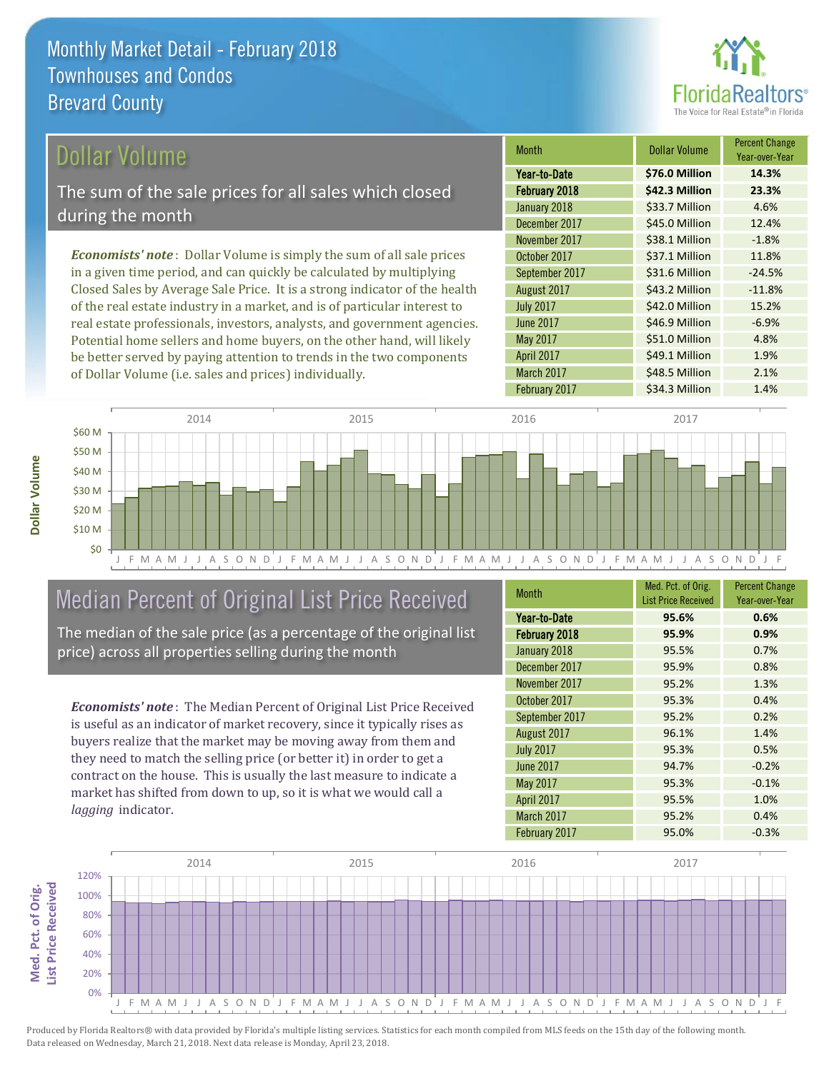

## Dollar Volume

The sum of the sale prices for all sales which closed during the month

*Economists' note* : Dollar Volume is simply the sum of all sale prices in a given time period, and can quickly be calculated by multiplying Closed Sales by Average Sale Price. It is a strong indicator of the health of the real estate industry in a market, and is of particular interest to real estate professionals, investors, analysts, and government agencies. Potential home sellers and home buyers, on the other hand, will likely be better served by paying attention to trends in the two components of Dollar Volume (i.e. sales and prices) individually.

| <b>Month</b>      | Dollar Volume  | <b>Percent Change</b><br>Year-over-Year |
|-------------------|----------------|-----------------------------------------|
| Year-to-Date      | \$76.0 Million | 14.3%                                   |
| February 2018     | \$42.3 Million | 23.3%                                   |
| January 2018      | \$33.7 Million | 4.6%                                    |
| December 2017     | \$45.0 Million | 12.4%                                   |
| November 2017     | \$38.1 Million | $-1.8%$                                 |
| October 2017      | \$37.1 Million | 11.8%                                   |
| September 2017    | \$31.6 Million | $-24.5%$                                |
| August 2017       | \$43.2 Million | $-11.8%$                                |
| <b>July 2017</b>  | \$42.0 Million | 15.2%                                   |
| <b>June 2017</b>  | \$46.9 Million | $-6.9%$                                 |
| May 2017          | \$51.0 Million | 4.8%                                    |
| April 2017        | \$49.1 Million | 1.9%                                    |
| <b>March 2017</b> | \$48.5 Million | 2.1%                                    |
| February 2017     | \$34.3 Million | 1.4%                                    |



## Median Percent of Original List Price Received

The median of the sale price (as a percentage of the original list price) across all properties selling during the month

*Economists' note* : The Median Percent of Original List Price Received is useful as an indicator of market recovery, since it typically rises as buyers realize that the market may be moving away from them and they need to match the selling price (or better it) in order to get a contract on the house. This is usually the last measure to indicate a market has shifted from down to up, so it is what we would call a *lagging* indicator.

| <b>Month</b>     | Med. Pct. of Orig.<br><b>List Price Received</b> | <b>Percent Change</b><br>Year-over-Year |
|------------------|--------------------------------------------------|-----------------------------------------|
|                  |                                                  |                                         |
| Year-to-Date     | 95.6%                                            | 0.6%                                    |
| February 2018    | 95.9%                                            | 0.9%                                    |
| January 2018     | 95.5%                                            | 0.7%                                    |
| December 2017    | 95.9%                                            | 0.8%                                    |
| November 2017    | 95.2%                                            | 1.3%                                    |
| October 2017     | 95.3%                                            | 0.4%                                    |
| September 2017   | 95.2%                                            | 0.2%                                    |
| August 2017      | 96.1%                                            | 1.4%                                    |
| <b>July 2017</b> | 95.3%                                            | 0.5%                                    |
| <b>June 2017</b> | 94.7%                                            | $-0.2%$                                 |
| May 2017         | 95.3%                                            | $-0.1%$                                 |
| April 2017       | 95.5%                                            | 1.0%                                    |
| March 2017       | 95.2%                                            | 0.4%                                    |
| February 2017    | 95.0%                                            | $-0.3%$                                 |



Produced by Florida Realtors® with data provided by Florida's multiple listing services. Statistics for each month compiled from MLS feeds on the 15th day of the following month. Data released on Wednesday, March 21, 2018. Next data release is Monday, April 23, 2018.

**Med. Pct. of Orig.** 

Med. Pct. of Orig.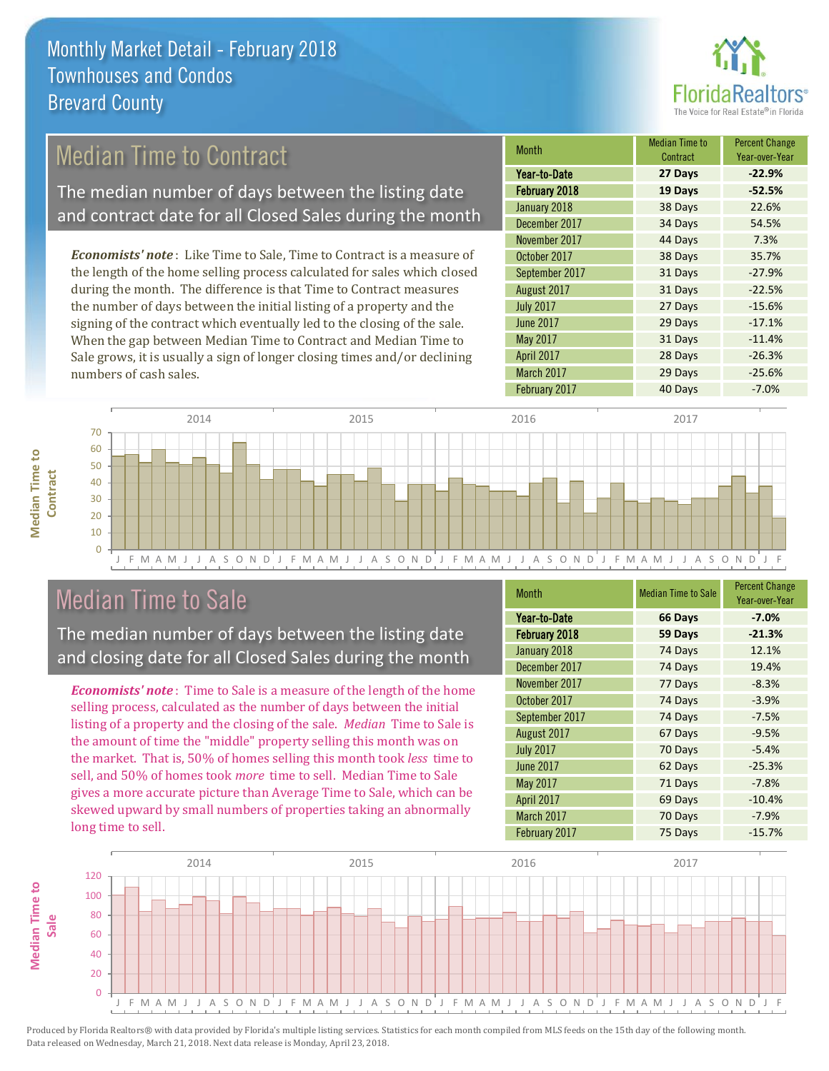

## Median Time to Contract

The median number of days between the listing date and contract date for all Closed Sales during the month

*Economists' note* : Like Time to Sale, Time to Contract is a measure of the length of the home selling process calculated for sales which closed during the month. The difference is that Time to Contract measures the number of days between the initial listing of a property and the signing of the contract which eventually led to the closing of the sale. When the gap between Median Time to Contract and Median Time to Sale grows, it is usually a sign of longer closing times and/or declining numbers of cash sales.

| <b>Month</b>     | <b>Median Time to</b><br>Contract | <b>Percent Change</b><br>Year-over-Year |
|------------------|-----------------------------------|-----------------------------------------|
| Year-to-Date     | 27 Days                           | $-22.9%$                                |
| February 2018    | 19 Days                           | $-52.5%$                                |
| January 2018     | 38 Days                           | 22.6%                                   |
| December 2017    | 34 Days                           | 54.5%                                   |
| November 2017    | 44 Days                           | 7.3%                                    |
| October 2017     | 38 Days                           | 35.7%                                   |
| September 2017   | 31 Days                           | $-27.9%$                                |
| August 2017      | 31 Days                           | $-22.5%$                                |
| <b>July 2017</b> | 27 Days                           | $-15.6%$                                |
| <b>June 2017</b> | 29 Days                           | $-17.1%$                                |
| May 2017         | 31 Days                           | $-11.4%$                                |
| April 2017       | 28 Days                           | $-26.3%$                                |
| March 2017       | 29 Days                           | $-25.6%$                                |
| February 2017    | 40 Days                           | $-7.0%$                                 |



## Median Time to Sale

**Median Time to** 

**Median Time to** 

The median number of days between the listing date and closing date for all Closed Sales during the month

*Economists' note* : Time to Sale is a measure of the length of the home selling process, calculated as the number of days between the initial listing of a property and the closing of the sale. *Median* Time to Sale is the amount of time the "middle" property selling this month was on the market. That is, 50% of homes selling this month took *less* time to sell, and 50% of homes took *more* time to sell. Median Time to Sale gives a more accurate picture than Average Time to Sale, which can be skewed upward by small numbers of properties taking an abnormally long time to sell.

| <b>Month</b>     | <b>Median Time to Sale</b> | <b>Percent Change</b><br>Year-over-Year |
|------------------|----------------------------|-----------------------------------------|
| Year-to-Date     | 66 Days                    | $-7.0%$                                 |
| February 2018    | 59 Days                    | $-21.3%$                                |
| January 2018     | 74 Days                    | 12.1%                                   |
| December 2017    | 74 Days                    | 19.4%                                   |
| November 2017    | 77 Days                    | $-8.3%$                                 |
| October 2017     | 74 Days                    | $-3.9%$                                 |
| September 2017   | 74 Days                    | $-7.5%$                                 |
| August 2017      | 67 Days                    | $-9.5%$                                 |
| <b>July 2017</b> | 70 Days                    | $-5.4%$                                 |
| <b>June 2017</b> | 62 Days                    | $-25.3%$                                |
| May 2017         | 71 Days                    | $-7.8%$                                 |
| April 2017       | 69 Days                    | $-10.4%$                                |
| March 2017       | 70 Days                    | $-7.9%$                                 |
| February 2017    | 75 Days                    | $-15.7%$                                |

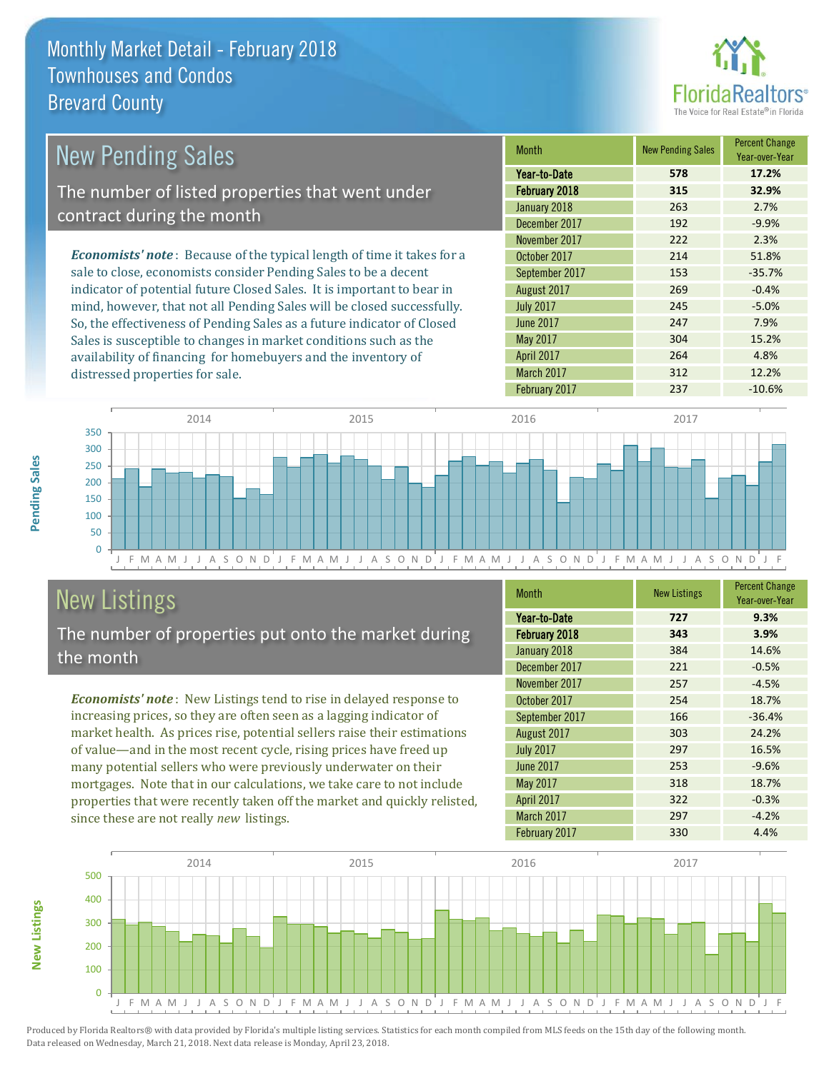

| <b>New Pending Sales</b>                                                       | <b>Month</b>     | <b>New Pending Sales</b> | <b>Percent Change</b><br>Year-over-Year |
|--------------------------------------------------------------------------------|------------------|--------------------------|-----------------------------------------|
|                                                                                | Year-to-Date     | 578                      | 17.2%                                   |
| The number of listed properties that went under                                | February 2018    | 315                      | 32.9%                                   |
| contract during the month                                                      | January 2018     | 263                      | 2.7%                                    |
|                                                                                | December 2017    | 192                      | $-9.9%$                                 |
|                                                                                | November 2017    | 222                      | 2.3%                                    |
| <b>Economists' note</b> : Because of the typical length of time it takes for a | October 2017     | 214                      | 51.8%                                   |
| sale to close, economists consider Pending Sales to be a decent                | September 2017   | 153                      | $-35.7%$                                |
| indicator of potential future Closed Sales. It is important to bear in         | August 2017      | 269                      | $-0.4%$                                 |
| mind, however, that not all Pending Sales will be closed successfully.         | <b>July 2017</b> | 245                      | $-5.0%$                                 |
| So, the effectiveness of Pending Sales as a future indicator of Closed         | June 2017        | 247                      | 7.9%                                    |

J F M A M J J A S O N D J F M A M J J A S O N D J F M A M J J A S O N D J F M A M J J A S O N D J F 0 50 100 150 200 250 300 350 2014 2015 2016 2017

# New Listings

**New Listings**

**Pending Sales**

Pending Sales

distressed properties for sale.

The number of properties put onto the market during the month

Sales is susceptible to changes in market conditions such as the availability of financing for homebuyers and the inventory of

*Economists' note* : New Listings tend to rise in delayed response to increasing prices, so they are often seen as a lagging indicator of market health. As prices rise, potential sellers raise their estimations of value—and in the most recent cycle, rising prices have freed up many potential sellers who were previously underwater on their mortgages. Note that in our calculations, we take care to not include properties that were recently taken off the market and quickly relisted, since these are not really *new* listings.

| Month            | <b>New Listings</b> | <b>Percent Change</b><br>Year-over-Year |
|------------------|---------------------|-----------------------------------------|
| Year-to-Date     | 727                 | 9.3%                                    |
| February 2018    | 343                 | 3.9%                                    |
| January 2018     | 384                 | 14.6%                                   |
| December 2017    | 221                 | $-0.5%$                                 |
| November 2017    | 257                 | $-4.5%$                                 |
| October 2017     | 254                 | 18.7%                                   |
| September 2017   | 166                 | $-36.4%$                                |
| August 2017      | 303                 | 24.2%                                   |
| <b>July 2017</b> | 297                 | 16.5%                                   |
| <b>June 2017</b> | 253                 | $-9.6%$                                 |
| May 2017         | 318                 | 18.7%                                   |
| April 2017       | 322                 | $-0.3%$                                 |
| March 2017       | 297                 | $-4.2%$                                 |
| February 2017    | 330                 | 4.4%                                    |

May 2017 15.2% April 2017 264 264 4.8% March 2017 312 12.2% February 2017 237 -10.6%

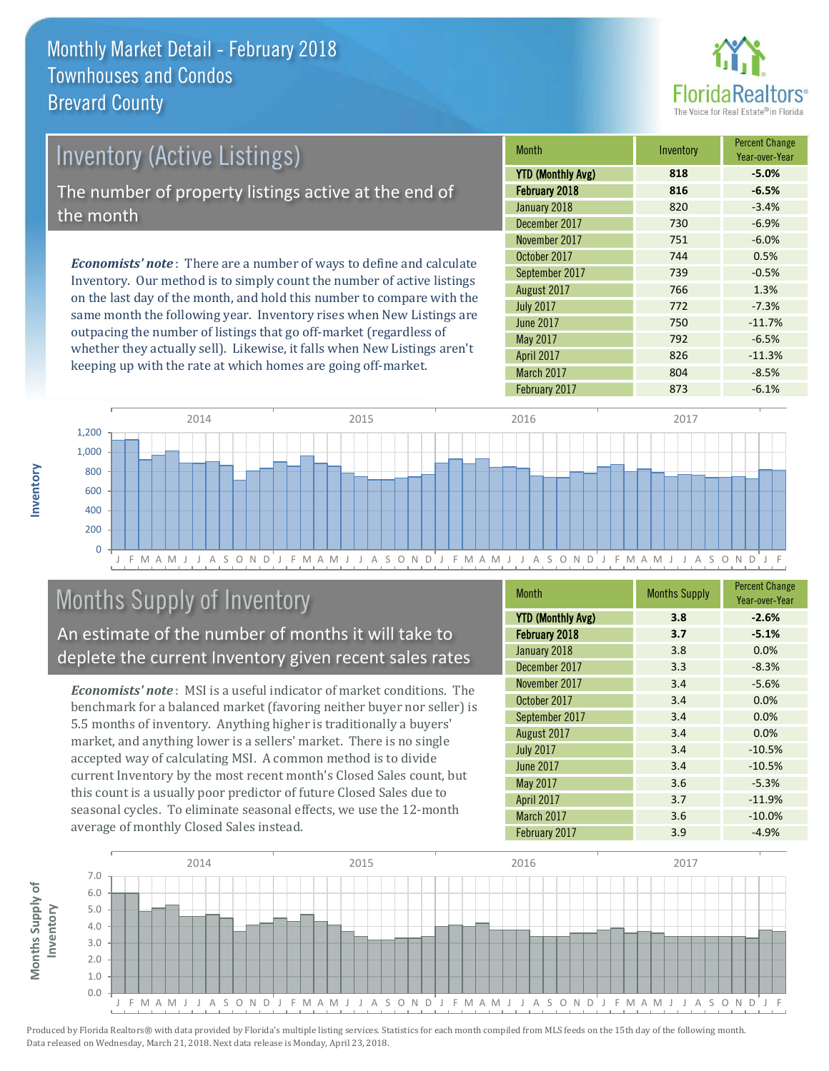

| Inventory (Active Listings)<br>The number of property listings active at the end of |                           |           |  |  |
|-------------------------------------------------------------------------------------|---------------------------|-----------|--|--|
|                                                                                     |                           | the month |  |  |
|                                                                                     |                           |           |  |  |
| Eggnamiatel nata: Thomasa a number of ways to define and solar late                 | November 2<br>October 201 |           |  |  |

*Economists' note* : There are a number of ways to define and calculate Inventory. Our method is to simply count the number of active listings on the last day of the month, and hold this number to compare with the same month the following year. Inventory rises when New Listings are outpacing the number of listings that go off-market (regardless of whether they actually sell). Likewise, it falls when New Listings aren't keeping up with the rate at which homes are going off-market.

| <b>Month</b>             | Inventory | <b>Percent Change</b><br>Year-over-Year |
|--------------------------|-----------|-----------------------------------------|
| <b>YTD (Monthly Avg)</b> | 818       | $-5.0%$                                 |
| February 2018            | 816       | $-6.5%$                                 |
| January 2018             | 820       | $-3.4%$                                 |
| December 2017            | 730       | $-6.9%$                                 |
| November 2017            | 751       | $-6.0%$                                 |
| October 2017             | 744       | 0.5%                                    |
| September 2017           | 739       | $-0.5%$                                 |
| August 2017              | 766       | 1.3%                                    |
| <b>July 2017</b>         | 772       | $-7.3%$                                 |
| <b>June 2017</b>         | 750       | $-11.7%$                                |
| May 2017                 | 792       | $-6.5%$                                 |
| April 2017               | 826       | $-11.3%$                                |
| March 2017               | 804       | $-8.5%$                                 |
| February 2017            | 873       | $-6.1%$                                 |



# Months Supply of Inventory

An estimate of the number of months it will take to deplete the current Inventory given recent sales rates

*Economists' note* : MSI is a useful indicator of market conditions. The benchmark for a balanced market (favoring neither buyer nor seller) is 5.5 months of inventory. Anything higher is traditionally a buyers' market, and anything lower is a sellers' market. There is no single accepted way of calculating MSI. A common method is to divide current Inventory by the most recent month's Closed Sales count, but this count is a usually poor predictor of future Closed Sales due to seasonal cycles. To eliminate seasonal effects, we use the 12-month average of monthly Closed Sales instead.

| Month                    | <b>Months Supply</b> | <b>Percent Change</b><br>Year-over-Year |
|--------------------------|----------------------|-----------------------------------------|
| <b>YTD (Monthly Avg)</b> | 3.8                  | $-2.6%$                                 |
| February 2018            | 3.7                  | $-5.1%$                                 |
| January 2018             | 3.8                  | 0.0%                                    |
| December 2017            | 3.3                  | $-8.3%$                                 |
| November 2017            | 3.4                  | $-5.6%$                                 |
| October 2017             | 3.4                  | 0.0%                                    |
| September 2017           | 3.4                  | 0.0%                                    |
| August 2017              | 3.4                  | 0.0%                                    |
| <b>July 2017</b>         | 3.4                  | $-10.5%$                                |
| June 2017                | 3.4                  | $-10.5%$                                |
| May 2017                 | 3.6                  | $-5.3%$                                 |
| April 2017               | 3.7                  | $-11.9%$                                |
| March 2017               | 3.6                  | $-10.0%$                                |
| February 2017            | 3.9                  | $-4.9%$                                 |

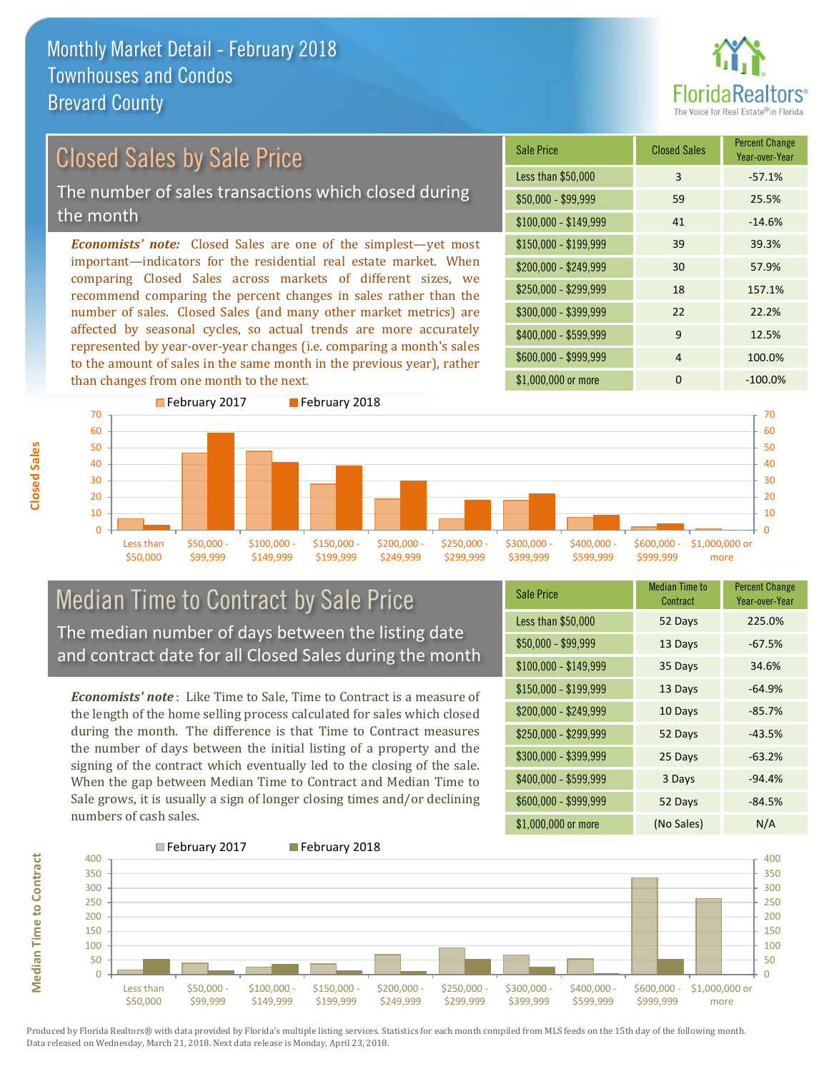

## Closed Sales by Sale Price

The number of sales transactions which closed during the month

*Economists' note:* Closed Sales are one of the simplest—yet most important—indicators for the residential real estate market. When comparing Closed Sales across markets of different sizes, we recommend comparing the percent changes in sales rather than the number of sales. Closed Sales (and many other market metrics) are affected by seasonal cycles, so actual trends are more accurately represented by year-over-year changes (i.e. comparing a month's sales to the amount of sales in the same month in the previous year), rather than changes from one month to the next.

| <b>Sale Price</b>     | <b>Closed Sales</b> | <b>Percent Change</b><br>Year-over-Year |
|-----------------------|---------------------|-----------------------------------------|
| Less than \$50,000    | 3                   | $-57.1%$                                |
| $$50,000 - $99,999$   | 59                  | 25.5%                                   |
| $$100,000 - $149,999$ | 41                  | $-14.6%$                                |
| $$150,000 - $199,999$ | 39                  | 39.3%                                   |
| \$200,000 - \$249,999 | 30                  | 57.9%                                   |
| \$250,000 - \$299,999 | 18                  | 157.1%                                  |
| \$300,000 - \$399,999 | 22                  | 22.2%                                   |
| \$400,000 - \$599,999 | 9                   | 12.5%                                   |
| \$600,000 - \$999,999 | 4                   | 100.0%                                  |
| \$1,000,000 or more   | ŋ                   | $-100.0\%$                              |



#### Median Time to Contract by Sale Price The median number of days between the listing date and contract date for all Closed Sales during the month

*Economists' note* : Like Time to Sale, Time to Contract is a measure of the length of the home selling process calculated for sales which closed during the month. The difference is that Time to Contract measures the number of days between the initial listing of a property and the signing of the contract which eventually led to the closing of the sale. When the gap between Median Time to Contract and Median Time to Sale grows, it is usually a sign of longer closing times and/or declining numbers of cash sales.

| <b>Sale Price</b>     | <b>Median Time to</b><br>Contract | <b>Percent Change</b><br>Year-over-Year |
|-----------------------|-----------------------------------|-----------------------------------------|
| Less than \$50,000    | 52 Days                           | 225.0%                                  |
| \$50,000 - \$99,999   | 13 Days                           | $-67.5%$                                |
| $$100,000 - $149,999$ | 35 Days                           | 34.6%                                   |
| \$150,000 - \$199,999 | 13 Days                           | $-64.9%$                                |
| \$200,000 - \$249,999 | 10 Days                           | $-85.7%$                                |
| \$250,000 - \$299,999 | 52 Days                           | $-43.5%$                                |
| \$300,000 - \$399,999 | 25 Days                           | $-63.2%$                                |
| \$400,000 - \$599,999 | 3 Days                            | $-94.4%$                                |
| \$600,000 - \$999,999 | 52 Days                           | $-84.5%$                                |
| \$1,000,000 or more   | (No Sales)                        | N/A                                     |



Produced by Florida Realtors® with data provided by Florida's multiple listing services. Statistics for each month compiled from MLS feeds on the 15th day of the following month. Data released on Wednesday, March 21, 2018. Next data release is Monday, April 23, 2018.

**Median Time to Contract**

**Median Time to Contract**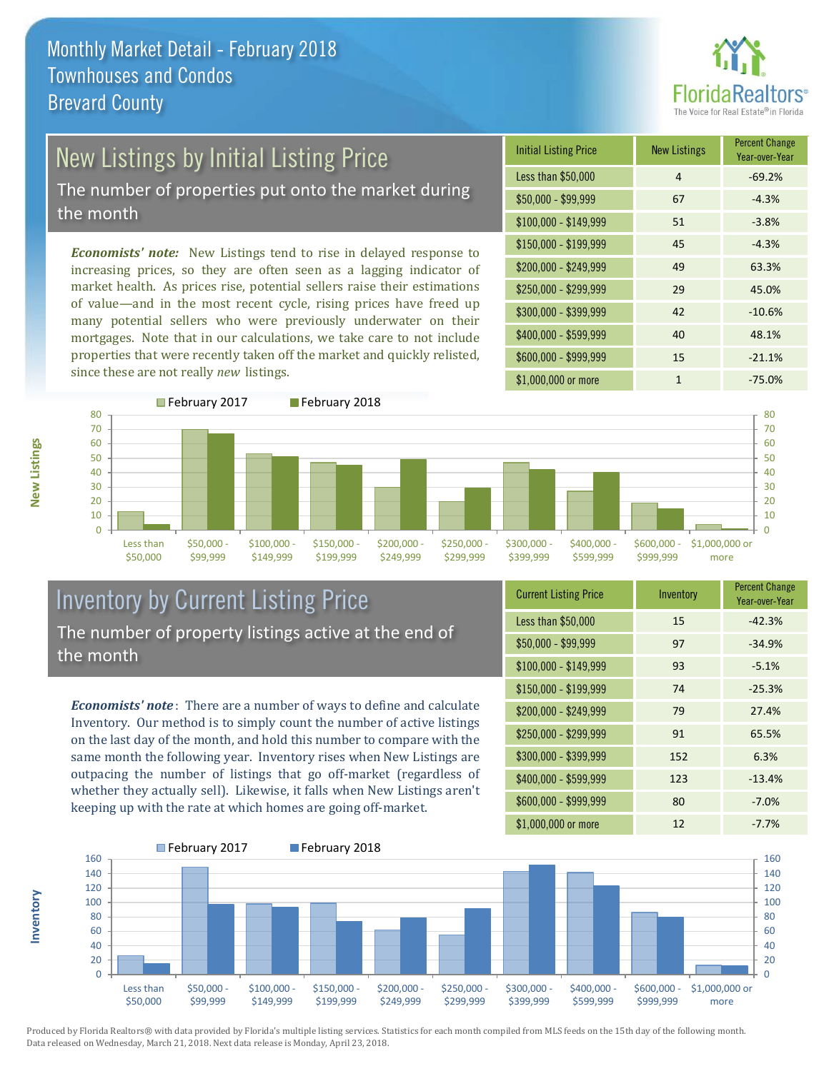

# New Listings by Initial Listing Price

The number of properties put onto the market during the month

*Economists' note:* New Listings tend to rise in delayed response to increasing prices, so they are often seen as a lagging indicator of market health. As prices rise, potential sellers raise their estimations of value—and in the most recent cycle, rising prices have freed up many potential sellers who were previously underwater on their mortgages. Note that in our calculations, we take care to not include properties that were recently taken off the market and quickly relisted, since these are not really *new* listings.





## Inventory by Current Listing Price The number of property listings active at the end of the month

*Economists' note* : There are a number of ways to define and calculate Inventory. Our method is to simply count the number of active listings on the last day of the month, and hold this number to compare with the same month the following year. Inventory rises when New Listings are outpacing the number of listings that go off-market (regardless of whether they actually sell). Likewise, it falls when New Listings aren't keeping up with the rate at which homes are going off-market.

| <b>Current Listing Price</b> | Inventory | <b>Percent Change</b><br>Year-over-Year |
|------------------------------|-----------|-----------------------------------------|
| Less than \$50,000           | 15        | $-42.3%$                                |
| $$50,000 - $99,999$          | 97        | $-34.9%$                                |
| $$100,000 - $149,999$        | 93        | $-5.1%$                                 |
| $$150,000 - $199,999$        | 74        | $-25.3%$                                |
| \$200,000 - \$249,999        | 79        | 27.4%                                   |
| \$250,000 - \$299,999        | 91        | 65.5%                                   |
| \$300,000 - \$399,999        | 152       | 6.3%                                    |
| \$400,000 - \$599,999        | 123       | $-13.4%$                                |
| \$600,000 - \$999,999        | 80        | $-7.0%$                                 |
| \$1,000,000 or more          | 12        | $-7.7%$                                 |



Produced by Florida Realtors® with data provided by Florida's multiple listing services. Statistics for each month compiled from MLS feeds on the 15th day of the following month. Data released on Wednesday, March 21, 2018. Next data release is Monday, April 23, 2018.

**Inventory**